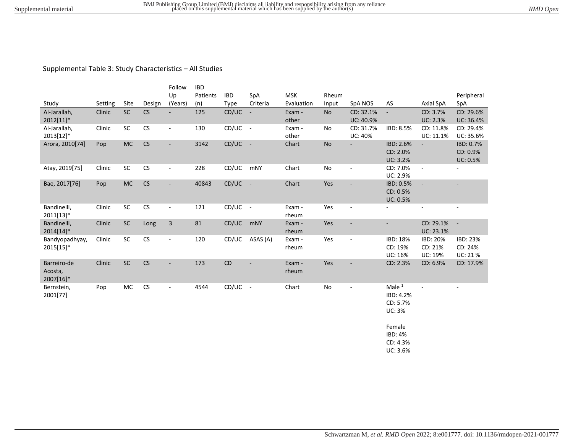## Supplemental Table 3: Study Characteristics – All Studies

|                 |         |           |                      | Follow                   | <b>IBD</b> |            |                |            |               |                          |                       |                          |                          |
|-----------------|---------|-----------|----------------------|--------------------------|------------|------------|----------------|------------|---------------|--------------------------|-----------------------|--------------------------|--------------------------|
|                 |         |           |                      | Up                       | Patients   | <b>IBD</b> | SpA            | <b>MSK</b> | Rheum         |                          |                       |                          | Peripheral               |
| Study           | Setting | Site      | Design               | (Years)                  | (n)        | Type       | Criteria       | Evaluation | Input         | SpA NOS                  | AS                    | Axial SpA                | SpA                      |
| Al-Jarallah,    | Clinic  | $\sf SC$  | CS                   | $\blacksquare$           | 125        | CD/UC      | $\blacksquare$ | Exam -     | <b>No</b>     | CD: 32.1%                |                       | CD: 3.7%                 | CD: 29.6%                |
| 2012[11]*       |         |           |                      |                          |            |            |                | other      |               | UC: 40.9%                |                       | UC: 2.3%                 | UC: 36.4%                |
| Al-Jarallah,    | Clinic  | $\sf SC$  | CS                   | $\overline{\phantom{a}}$ | 130        | $CD/UC -$  |                | Exam -     | No            | CD: 31.7%                | IBD: 8.5%             | CD: 11.8%                | CD: 29.4%                |
| 2013[12]*       |         |           | CS                   |                          |            |            |                | other      |               | <b>UC: 40%</b>           |                       | UC: 11.1%                | UC: 35.6%                |
| Arora, 2010[74] | Pop     | $MC$      |                      | $\blacksquare$           | 3142       | CD/UC      | $\sim$ $-$     | Chart      | <b>No</b>     |                          | IBD: 2.6%<br>CD: 2.0% |                          | IBD: 0.7%<br>CD: 0.9%    |
|                 |         |           |                      |                          |            |            |                |            |               |                          | <b>UC: 3.2%</b>       |                          | <b>UC: 0.5%</b>          |
| Atay, 2019[75]  | Clinic  | SC        | CS                   | $\overline{\phantom{a}}$ | 228        | CD/UC      | mNY            | Chart      | No            | $\overline{\phantom{a}}$ | CD: 7.0%              | $\sim$                   | ÷,                       |
|                 |         |           |                      |                          |            |            |                |            |               |                          | UC: 2.9%              |                          |                          |
| Bae, 2017[76]   | Pop     | <b>MC</b> | CS                   | $\overline{\phantom{a}}$ | 40843      | CD/UC      | $\sim$ $-$     | Chart      | Yes           | $\blacksquare$           | IBD: 0.5%             | $\sim$                   | $\overline{\phantom{a}}$ |
|                 |         |           |                      |                          |            |            |                |            |               |                          | CD: 0.5%              |                          |                          |
|                 |         |           |                      |                          |            |            |                |            |               |                          | UC: 0.5%              |                          |                          |
| Bandinelli,     | Clinic  | SC        | CS                   | $\blacksquare$           | 121        | $CD/UC -$  |                | Exam -     | Yes           | $\omega$                 | $\blacksquare$        | $\overline{\phantom{a}}$ | $\overline{\phantom{a}}$ |
| 2011[13]*       |         |           |                      |                          |            |            |                | rheum      |               |                          |                       |                          |                          |
| Bandinelli,     | Clinic  | SC        | Long                 | $\mathsf 3$              | 81         | CD/UC      | mNY            | Exam -     | Yes           |                          | ÷,                    | CD: 29.1%                | $\sim$                   |
| 2014[14]*       |         |           |                      |                          |            |            |                | rheum      |               |                          |                       | UC: 23.1%                |                          |
| Bandyopadhyay,  | Clinic  | SC        | CS                   | $\overline{\phantom{a}}$ | 120        | CD/UC      | ASAS (A)       | Exam -     | Yes           | $\blacksquare$           | IBD: 18%              | IBD: 20%                 | IBD: 23%                 |
| 2015[15]*       |         |           |                      |                          |            |            |                | rheum      |               |                          | CD: 19%               | CD: 21%                  | CD: 24%                  |
|                 |         |           |                      |                          |            |            |                |            |               |                          | UC: 16%               | <b>UC: 19%</b>           | <b>UC: 21 %</b>          |
| Barreiro-de     | Clinic  | SC        | CS                   | $\overline{\phantom{a}}$ | 173        | <b>CD</b>  |                | Exam -     | Yes           | $\overline{\phantom{a}}$ | CD: 2.3%              | CD: 6.9%                 | CD: 17.9%                |
| Acosta,         |         |           |                      |                          |            |            |                | rheum      |               |                          |                       |                          |                          |
| 2007[16]*       |         |           |                      |                          |            |            |                |            |               |                          |                       |                          |                          |
| Bernstein,      | Pop     | MC        | $\mathsf{CS}\xspace$ | $\sim$                   | 4544       | CD/UC      | $\sim$         | Chart      | $\mathsf{No}$ | $\blacksquare$           | Male $1$              |                          |                          |
| 2001[77]        |         |           |                      |                          |            |            |                |            |               |                          | IBD: 4.2%             |                          |                          |
|                 |         |           |                      |                          |            |            |                |            |               |                          | CD: 5.7%              |                          |                          |
|                 |         |           |                      |                          |            |            |                |            |               |                          | <b>UC: 3%</b>         |                          |                          |
|                 |         |           |                      |                          |            |            |                |            |               |                          | Female                |                          |                          |
|                 |         |           |                      |                          |            |            |                |            |               |                          | <b>IBD: 4%</b>        |                          |                          |

CD: 4.3% UC: 3.6%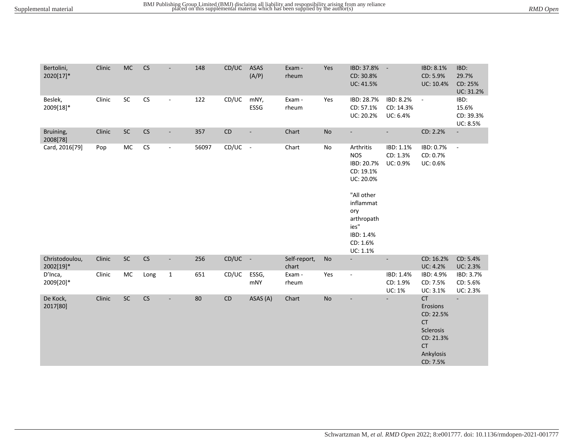| Bertolini,<br>2020[17]*     | Clinic | <b>MC</b> | CS         |                          | 148    | CD/UC      | ASAS<br>(A/P)            | Exam -<br>rheum       | Yes           | IBD: 37.8%<br>CD: 30.8%<br>UC: 41.5%                                                                                                                         | $\overline{\phantom{a}}$               | IBD: 8.1%<br>CD: 5.9%<br>UC: 10.4%                                                                       | IBD:<br>29.7%<br>CD: 25%<br>UC: 31.2%  |
|-----------------------------|--------|-----------|------------|--------------------------|--------|------------|--------------------------|-----------------------|---------------|--------------------------------------------------------------------------------------------------------------------------------------------------------------|----------------------------------------|----------------------------------------------------------------------------------------------------------|----------------------------------------|
| Beslek,<br>2009[18]*        | Clinic | SC        | ${\sf CS}$ | $\blacksquare$           | 122    | CD/UC      | mNY,<br>ESSG             | Exam -<br>rheum       | Yes           | IBD: 28.7%<br>CD: 57.1%<br>UC: 20.2%                                                                                                                         | IBD: 8.2%<br>CD: 14.3%<br>UC: 6.4%     | $\blacksquare$                                                                                           | IBD:<br>15.6%<br>CD: 39.3%<br>UC: 8.5% |
| Bruining,<br>2008[78]       | Clinic | $\sf SC$  | ${\sf CS}$ | $\blacksquare$           | 357    | ${\sf CD}$ | $\overline{\phantom{a}}$ | Chart                 | No            | $\blacksquare$                                                                                                                                               | $\mathcal{L}_{\mathcal{A}}$            | CD: 2.2%                                                                                                 | $\overline{\phantom{a}}$               |
| Card, 2016[79]              | Pop    | MC        | ${\sf CS}$ | $\blacksquare$           | 56097  | $CD/UC -$  |                          | Chart                 | $\mathsf{No}$ | Arthritis<br><b>NOS</b><br>IBD: 20.7%<br>CD: 19.1%<br>UC: 20.0%<br>"All other<br>inflammat<br>ory<br>arthropath<br>ies"<br>IBD: 1.4%<br>CD: 1.6%<br>UC: 1.1% | IBD: 1.1%<br>CD: 1.3%<br>UC: 0.9%      | IBD: 0.7%<br>CD: 0.7%<br>UC: 0.6%                                                                        | $\overline{\phantom{a}}$               |
| Christodoulou,<br>2002[19]* | Clinic | $\sf SC$  | CS         | $\overline{\phantom{a}}$ | 256    | $CD/UC -$  |                          | Self-report,<br>chart | No            | $\overline{\phantom{a}}$                                                                                                                                     | $\overline{\phantom{a}}$               | CD: 16.2%<br><b>UC: 4.2%</b>                                                                             | CD: 5.4%<br><b>UC: 2.3%</b>            |
| D'Inca,<br>2009[20]*        | Clinic | MC        | Long       | $\mathbf{1}$             | 651    | CD/UC      | ESSG,<br>mNY             | Exam -<br>rheum       | Yes           | $\blacksquare$                                                                                                                                               | IBD: 1.4%<br>CD: 1.9%<br><b>UC: 1%</b> | IBD: 4.9%<br>CD: 7.5%<br>UC: 3.1%                                                                        | IBD: 3.7%<br>CD: 5.6%<br>UC: 2.3%      |
| De Kock,<br>2017[80]        | Clinic | $\sf SC$  | CS         | $\overline{\phantom{a}}$ | $80\,$ | ${\sf CD}$ | ASAS (A)                 | Chart                 | No            | $\overline{\phantom{a}}$                                                                                                                                     | $\mathcal{L}_{\mathcal{A}}$            | CT<br>Erosions<br>CD: 22.5%<br><b>CT</b><br>Sclerosis<br>CD: 21.3%<br><b>CT</b><br>Ankylosis<br>CD: 7.5% | $\mathcal{L}_{\mathcal{A}}$            |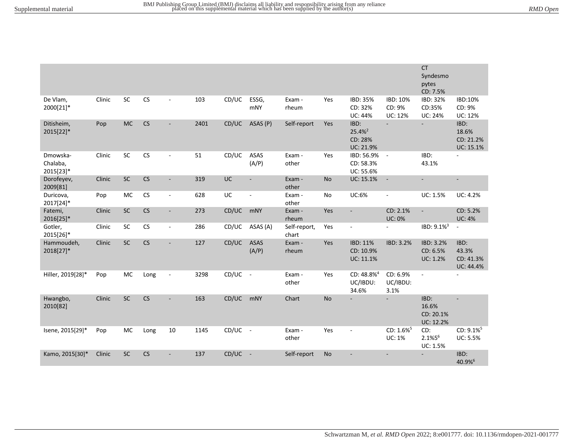|                                   |        |            |            |                          |      |           |                          |                       |           |                                                    |                                           | CT<br>Syndesmo<br>pytes<br>CD: 7.5%     |                                         |
|-----------------------------------|--------|------------|------------|--------------------------|------|-----------|--------------------------|-----------------------|-----------|----------------------------------------------------|-------------------------------------------|-----------------------------------------|-----------------------------------------|
| De Vlam,<br>2000[21]*             | Clinic | SC         | ${\sf CS}$ | $\blacksquare$           | 103  | CD/UC     | ESSG,<br><b>mNY</b>      | Exam -<br>rheum       | Yes       | IBD: 35%<br>CD: 32%<br><b>UC: 44%</b>              | IBD: 10%<br>CD: 9%<br><b>UC: 12%</b>      | IBD: 32%<br>CD:35%<br><b>UC: 24%</b>    | IBD:10%<br>CD: 9%<br><b>UC: 12%</b>     |
| Ditisheim,<br>2015[22]*           | Pop    | <b>MC</b>  | CS         | $\overline{\phantom{a}}$ | 2401 | CD/UC     | ASAS (P)                 | Self-report           | Yes       | IBD:<br>25.4% <sup>2</sup><br>CD: 28%<br>UC: 21.9% | $\mathbf{r}$                              | $\blacksquare$                          | IBD:<br>18.6%<br>CD: 21.2%<br>UC: 15.1% |
| Dmowska-<br>Chalaba,<br>2015[23]* | Clinic | ${\sf SC}$ | CS         | $\blacksquare$           | 51   | CD/UC     | ASAS<br>(A/P)            | Exam -<br>other       | Yes       | IBD: 56.9%<br>CD: 58.3%<br>UC: 55.6%               | $\blacksquare$                            | IBD:<br>43.1%                           |                                         |
| Dorofeyev,<br>2009[81]            | Clinic | SC         | CS         | $\blacksquare$           | 319  | UC        | $\overline{\phantom{a}}$ | Exam -<br>other       | <b>No</b> | UC: 15.1%                                          | $\overline{\phantom{a}}$                  |                                         | $\overline{\phantom{a}}$                |
| Duricova,<br>2017[24]*            | Pop    | <b>MC</b>  | ${\sf CS}$ | $\blacksquare$           | 628  | UC        | ÷,                       | Exam -<br>other       | No        | UC:6%                                              | $\overline{\phantom{a}}$                  | UC: 1.5%                                | <b>UC: 4.2%</b>                         |
| Fatemi,<br>2016[25]*              | Clinic | SC         | CS         | $\overline{\phantom{a}}$ | 273  | CD/UC     | mNY                      | Exam -<br>rheum       | Yes       | $\blacksquare$                                     | CD: 2.1%<br><b>UC: 0%</b>                 | $\sim$                                  | CD: 5.2%<br><b>UC: 4%</b>               |
| Gotler,<br>2015[26]*              | Clinic | SC         | ${\sf CS}$ | $\blacksquare$           | 286  | CD/UC     | ASAS (A)                 | Self-report,<br>chart | Yes       | $\overline{\phantom{a}}$                           | $\blacksquare$                            | IBD: 9.1% <sup>3</sup>                  | ÷.                                      |
| Hammoudeh,<br>2018[27]*           | Clinic | $\sf SC$   | CS         |                          | 127  | CD/UC     | <b>ASAS</b><br>(A/P)     | Exam -<br>rheum       | Yes       | IBD: 11%<br>CD: 10.9%<br>UC: 11.1%                 | IBD: 3.2%                                 | IBD: 3.2%<br>CD: 6.5%<br>UC: 1.2%       | IBD:<br>43.3%<br>CD: 41.3%<br>UC: 44.4% |
| Hiller, 2019[28]*                 | Pop    | <b>MC</b>  | Long       | ÷,                       | 3298 | CD/UC     | $\sim$                   | Exam -<br>other       | Yes       | $CD: 48.8\%4$<br>UC/IBDU:<br>34.6%                 | CD: 6.9%<br>UC/IBDU:<br>3.1%              |                                         |                                         |
| Hwangbo,<br>2010[82]              | Clinic | SC         | CS         | $\overline{\phantom{a}}$ | 163  | CD/UC     | mNY                      | Chart                 | No        |                                                    | $\overline{a}$                            | IBD:<br>16.6%<br>CD: 20.1%<br>UC: 12.2% | $\sim$                                  |
| Isene, 2015[29]*                  | Pop    | MC         | Long       | $10\,$                   | 1145 | CD/UC     | $\blacksquare$           | Exam -<br>other       | Yes       | $\overline{\phantom{a}}$                           | $CD: 1.6\%$ <sup>5</sup><br><b>UC: 1%</b> | CD:<br>2.1%56<br>UC: 1.5%               | CD: 9.1% <sup>5</sup><br>UC: 5.5%       |
| Kamo, 2015[30]*                   | Clinic | <b>SC</b>  | CS         | $\blacksquare$           | 137  | $CD/UC -$ |                          | Self-report           | <b>No</b> |                                                    | $\blacksquare$                            | $\blacksquare$                          | IBD:<br>40.9%                           |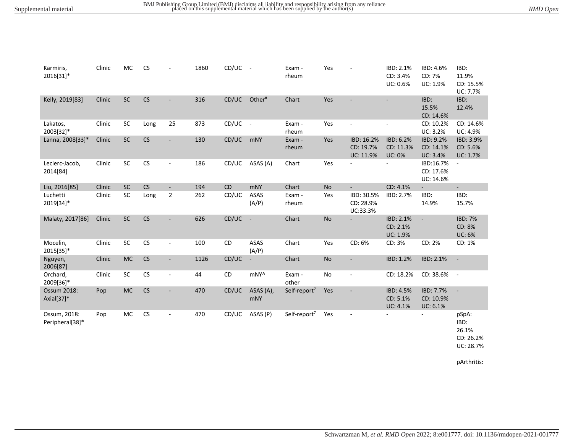| Karmiris,<br>2016[31]*          | Clinic | MC         | <b>CS</b> |                          | 1860 | CD/UC     | $\blacksquare$           | Exam -<br>rheum          | Yes       |                                      | IBD: 2.1%<br>CD: 3.4%<br>UC: 0.6%       | IBD: 4.6%<br>CD: 7%<br>UC: 1.9%     | IBD:<br>11.9%<br>CD: 15.5%<br>UC: 7.7%           |
|---------------------------------|--------|------------|-----------|--------------------------|------|-----------|--------------------------|--------------------------|-----------|--------------------------------------|-----------------------------------------|-------------------------------------|--------------------------------------------------|
| Kelly, 2019[83]                 | Clinic | $\sf SC$   | CS        |                          | 316  | CD/UC     | Other <sup>#</sup>       | Chart                    | Yes       |                                      |                                         | IBD:<br>15.5%<br>CD: 14.6%          | IBD:<br>12.4%                                    |
| Lakatos,<br>2003[32]*           | Clinic | SC         | Long      | 25                       | 873  | CD/UC     | $\sim$                   | Exam -<br>rheum          | Yes       |                                      |                                         | CD: 10.2%<br>UC: 3.2%               | CD: 14.6%<br>UC: 4.9%                            |
| Lanna, 2008[33]*                | Clinic | $\sf SC$   | CS        | $\overline{\phantom{a}}$ | 130  | CD/UC     | mNY                      | Exam -<br>rheum          | Yes       | IBD: 16.2%<br>CD: 19.7%<br>UC: 11.9% | IBD: 6.2%<br>CD: 11.3%<br><b>UC: 0%</b> | IBD: 9.2%<br>CD: 14.1%<br>UC: 3.4%  | IBD: 3.9%<br>CD: 5.6%<br><b>UC: 1.7%</b>         |
| Leclerc-Jacob,<br>2014[84]      | Clinic | ${\sf SC}$ | CS        | $\blacksquare$           | 186  | CD/UC     | ASAS (A)                 | Chart                    | Yes       |                                      |                                         | IBD:16.7%<br>CD: 17.6%<br>UC: 14.6% |                                                  |
| Liu, 2016[85]                   | Clinic | SC         | CS        | $\overline{\phantom{a}}$ | 194  | <b>CD</b> | mNY                      | Chart                    | <b>No</b> | $\sim$                               | CD: 4.1%                                | ÷.                                  | $\blacksquare$                                   |
| Luchetti<br>2019[34]*           | Clinic | SC         | Long      | $\overline{2}$           | 262  | CD/UC     | ASAS<br>(A/P)            | Exam -<br>rheum          | Yes       | IBD: 30.5%<br>CD: 28.9%<br>UC:33.3%  | IBD: 2.7%                               | IBD:<br>14.9%                       | IBD:<br>15.7%                                    |
| Malaty, 2017[86]                | Clinic | SC         | CS        |                          | 626  | CD/UC     | $\overline{\phantom{a}}$ | Chart                    | No        | $\overline{\phantom{a}}$             | IBD: 2.1%<br>CD: 2.1%<br>UC: 1.9%       | $\overline{\phantom{a}}$            | <b>IBD: 7%</b><br>CD: 8%<br><b>UC: 6%</b>        |
| Mocelin,<br>2015[35]*           | Clinic | $\sf SC$   | CS        | ÷                        | 100  | CD        | ASAS<br>(A/P)            | Chart                    | Yes       | CD: 6%                               | CD: 3%                                  | CD: 2%                              | CD: 1%                                           |
| Nguyen,<br>2006[87]             | Clinic | <b>MC</b>  | CS        |                          | 1126 | CD/UC     | $\overline{\phantom{a}}$ | Chart                    | <b>No</b> | ÷,                                   | IBD: 1.2%                               | IBD: 2.1%                           | $\overline{\phantom{a}}$                         |
| Orchard,<br>2009[36]*           | Clinic | ${\sf SC}$ | CS        | $\overline{\phantom{a}}$ | 44   | <b>CD</b> | mNY^                     | Exam -<br>other          | No        | $\blacksquare$                       | CD: 18.2%                               | CD: 38.6%                           | $\sim$ $-$                                       |
| Ossum 2018:<br>Axial[37]*       | Pop    | <b>MC</b>  | CS        |                          | 470  | CD/UC     | ASAS (A),<br><b>mNY</b>  | Self-report <sup>7</sup> | Yes       |                                      | IBD: 4.5%<br>CD: 5.1%<br>UC: 4.1%       | IBD: 7.7%<br>CD: 10.9%<br>UC: 6.1%  | $\sim$                                           |
| Ossum, 2018:<br>Peripheral[38]* | Pop    | MC         | <b>CS</b> | $\overline{\phantom{a}}$ | 470  | CD/UC     | ASAS (P)                 | Self-report <sup>7</sup> | Yes       |                                      |                                         |                                     | pSpA:<br>IBD:<br>26.1%<br>CD: 26.2%<br>UC: 28.7% |

pArthritis: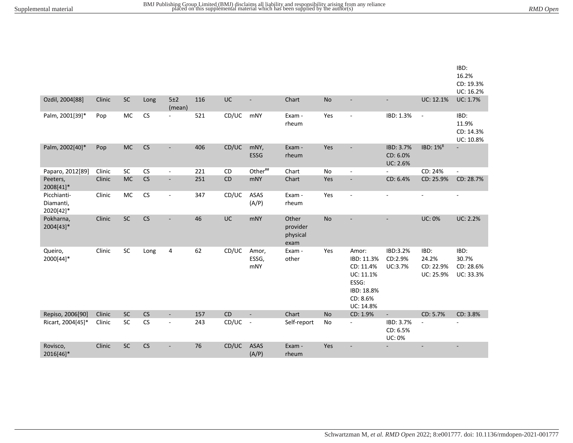|                                       |        |           |      |                          |     |           |                       |                                       |           |                                                                                               |                                        |                                         | IBD:<br>16.2%<br>CD: 19.3%<br>UC: 16.2% |
|---------------------------------------|--------|-----------|------|--------------------------|-----|-----------|-----------------------|---------------------------------------|-----------|-----------------------------------------------------------------------------------------------|----------------------------------------|-----------------------------------------|-----------------------------------------|
| Ozdil, 2004[88]                       | Clinic | $\sf SC$  | Long | 5±2<br>(mean)            | 116 | UC        | ä,                    | Chart                                 | No        |                                                                                               | $\overline{a}$                         | UC: 12.1%                               | UC: 1.7%                                |
| Palm, 2001[39]*                       | Pop    | MC        | CS   | $\sim$                   | 521 | CD/UC     | mNY                   | Exam -<br>rheum                       | Yes       |                                                                                               | IBD: 1.3%                              | $\blacksquare$                          | IBD:<br>11.9%<br>CD: 14.3%<br>UC: 10.8% |
| Palm, 2002[40]*                       | Pop    | <b>MC</b> | CS   |                          | 406 | CD/UC     | mNY,<br>ESSG          | Exam -<br>rheum                       | Yes       |                                                                                               | IBD: 3.7%<br>CD: 6.0%<br>UC: 2.6%      | IBD: 1% <sup>8</sup>                    |                                         |
| Paparo, 2012[89]                      | Clinic | SC        | CS   | $\blacksquare$           | 221 | <b>CD</b> | Other##               | Chart                                 | <b>No</b> | $\overline{\phantom{a}}$                                                                      |                                        | CD: 24%                                 | $\blacksquare$                          |
| Peeters,<br>2008[41]*                 | Clinic | <b>MC</b> | CS   | $\overline{\phantom{a}}$ | 251 | CD        | mNY                   | Chart                                 | Yes       | $\overline{\phantom{a}}$                                                                      | CD: 6.4%                               | CD: 25.9%                               | CD: 28.7%                               |
| Picchianti-<br>Diamanti,<br>2020[42]* | Clinic | MC        | CS   | $\blacksquare$           | 347 | CD/UC     | ASAS<br>(A/P)         | Exam -<br>rheum                       | Yes       | $\overline{\phantom{a}}$                                                                      | $\blacksquare$                         | $\overline{\phantom{a}}$                | $\blacksquare$                          |
| Pokharna,<br>2004[43]*                | Clinic | SC        | CS   |                          | 46  | UC        | <b>mNY</b>            | Other<br>provider<br>physical<br>exam | <b>No</b> |                                                                                               |                                        | <b>UC: 0%</b>                           | <b>UC: 2.2%</b>                         |
| Queiro,<br>2000[44]*                  | Clinic | SC        | Long | 4                        | 62  | CD/UC     | Amor,<br>ESSG,<br>mNY | Exam -<br>other                       | Yes       | Amor:<br>IBD: 11.3%<br>CD: 11.4%<br>UC: 11.1%<br>ESSG:<br>IBD: 18.8%<br>CD: 8.6%<br>UC: 14.8% | IBD:3.2%<br>CD:2.9%<br>UC:3.7%         | IBD:<br>24.2%<br>CD: 22.9%<br>UC: 25.9% | IBD:<br>30.7%<br>CD: 28.6%<br>UC: 33.3% |
| Repiso, 2006[90]                      | Clinic | SC        | CS   | $\overline{\phantom{a}}$ | 157 | CD        | $\overline{a}$        | Chart                                 | <b>No</b> | CD: 1.9%                                                                                      | $\blacksquare$                         | CD: 5.7%                                | CD: 3.8%                                |
| Ricart, 2004[45]*                     | Clinic | SC        | CS   | $\overline{\phantom{a}}$ | 243 | CD/UC     | $\blacksquare$        | Self-report                           | No        | $\overline{\phantom{a}}$                                                                      | IBD: 3.7%<br>CD: 6.5%<br><b>UC: 0%</b> | ÷,                                      | $\overline{\phantom{a}}$                |
| Rovisco,<br>2016[46]*                 | Clinic | SC        | CS   |                          | 76  | CD/UC     | <b>ASAS</b><br>(A/P)  | Exam -<br>rheum                       | Yes       |                                                                                               |                                        |                                         |                                         |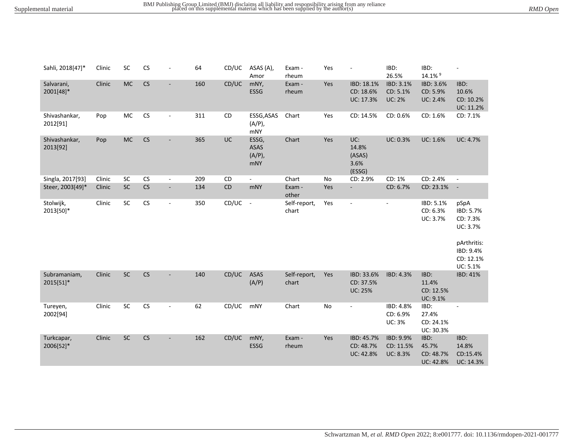| RMD Open |
|----------|
|          |

| Sahli, 2018[47]*          | Clinic | SC        | CS |                          | 64  | CD/UC     | ASAS (A),<br>Amor                        | Exam -<br>rheum       | Yes |                                             | IBD:<br>26.5%                             | IBD:<br>14.1% 9                                | $\blacksquare$                                                                                 |
|---------------------------|--------|-----------|----|--------------------------|-----|-----------|------------------------------------------|-----------------------|-----|---------------------------------------------|-------------------------------------------|------------------------------------------------|------------------------------------------------------------------------------------------------|
| Salvarani,<br>2001[48]*   | Clinic | <b>MC</b> | CS | ٠                        | 160 | CD/UC     | mNY,<br>ESSG                             | Exam -<br>rheum       | Yes | IBD: 18.1%<br>CD: 18.6%<br>UC: 17.3%        | IBD: 3.1%<br>CD: 5.1%<br><b>UC: 2%</b>    | IBD: 3.6%<br>CD: 5.9%<br><b>UC: 2.4%</b>       | IBD:<br>10.6%<br>CD: 10.2%<br>UC: 11.2%                                                        |
| Shivashankar,<br>2012[91] | Pop    | MC        | CS | ÷,                       | 311 | <b>CD</b> | ESSG, ASAS<br>$(A/P)$ ,<br><b>mNY</b>    | Chart                 | Yes | CD: 14.5%                                   | CD: 0.6%                                  | CD: 1.6%                                       | CD: 7.1%                                                                                       |
| Shivashankar,<br>2013[92] | Pop    | <b>MC</b> | CS | $\overline{\phantom{a}}$ | 365 | UC        | ESSG,<br><b>ASAS</b><br>$(A/P)$ ,<br>mNY | Chart                 | Yes | UC:<br>14.8%<br>(ASAS)<br>3.6%<br>(ESSG)    | UC: 0.3%                                  | UC: 1.6%                                       | <b>UC: 4.7%</b>                                                                                |
| Singla, 2017[93]          | Clinic | SC        | CS | $\blacksquare$           | 209 | CD        | $\blacksquare$                           | Chart                 | No  | CD: 2.9%                                    | CD: 1%                                    | CD: 2.4%                                       | $\blacksquare$                                                                                 |
| Steer, 2003[49]*          | Clinic | SC        | CS | $\blacksquare$           | 134 | CD        | mNY                                      | Exam -<br>other       | Yes | $\overline{\phantom{a}}$                    | CD: 6.7%                                  | CD: 23.1%                                      | $\overline{\phantom{a}}$                                                                       |
| Stolwijk,<br>2013[50]*    | Clinic | SC        | CS | $\overline{\phantom{a}}$ | 350 | CD/UC     | $\sim$                                   | Self-report,<br>chart | Yes | $\overline{\phantom{a}}$                    | $\overline{\phantom{a}}$                  | IBD: 5.1%<br>CD: 6.3%<br>UC: 3.7%              | pSpA<br>IBD: 5.7%<br>CD: 7.3%<br>UC: 3.7%<br>pArthritis:<br>IBD: 9.4%<br>CD: 12.1%<br>UC: 5.1% |
| Subramaniam,<br>2015[51]* | Clinic | $\sf SC$  | CS | $\overline{\phantom{a}}$ | 140 | CD/UC     | <b>ASAS</b><br>(A/P)                     | Self-report,<br>chart | Yes | IBD: 33.6%<br>CD: 37.5%<br><b>UC: 25%</b>   | IBD: 4.3%                                 | IBD:<br>11.4%<br>CD: 12.5%<br>UC: 9.1%         | IBD: 41%                                                                                       |
| Tureyen,<br>2002[94]      | Clinic | SC        | CS | $\blacksquare$           | 62  | CD/UC     | mNY                                      | Chart                 | No  | $\ddot{\phantom{1}}$                        | IBD: 4.8%<br>CD: 6.9%<br><b>UC: 3%</b>    | IBD:<br>27.4%<br>CD: 24.1%<br>UC: 30.3%        |                                                                                                |
| Turkcapar,<br>2006[52]*   | Clinic | SC        | CS |                          | 162 | CD/UC     | mNY,<br>ESSG                             | Exam -<br>rheum       | Yes | IBD: 45.7%<br>CD: 48.7%<br><b>UC: 42.8%</b> | IBD: 9.9%<br>CD: 11.5%<br><b>UC: 8.3%</b> | IBD:<br>45.7%<br>CD: 48.7%<br><b>UC: 42.8%</b> | IBD:<br>14.8%<br>CD:15.4%<br>UC: 14.3%                                                         |